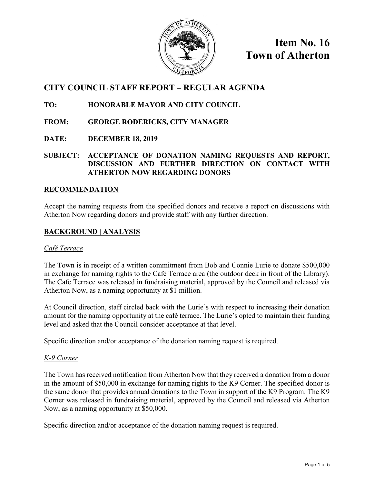

**Item No. 16 Town of Atherton**

# **CITY COUNCIL STAFF REPORT – REGULAR AGENDA**

# **TO: HONORABLE MAYOR AND CITY COUNCIL**

- **FROM: GEORGE RODERICKS, CITY MANAGER**
- **DATE: DECEMBER 18, 2019**

# **SUBJECT: ACCEPTANCE OF DONATION NAMING REQUESTS AND REPORT, DISCUSSION AND FURTHER DIRECTION ON CONTACT WITH ATHERTON NOW REGARDING DONORS**

# **RECOMMENDATION**

Accept the naming requests from the specified donors and receive a report on discussions with Atherton Now regarding donors and provide staff with any further direction.

# **BACKGROUND | ANALYSIS**

# *Café Terrace*

The Town is in receipt of a written commitment from Bob and Connie Lurie to donate \$500,000 in exchange for naming rights to the Café Terrace area (the outdoor deck in front of the Library). The Cafe Terrace was released in fundraising material, approved by the Council and released via Atherton Now, as a naming opportunity at \$1 million.

At Council direction, staff circled back with the Lurie's with respect to increasing their donation amount for the naming opportunity at the café terrace. The Lurie's opted to maintain their funding level and asked that the Council consider acceptance at that level.

Specific direction and/or acceptance of the donation naming request is required.

# *K-9 Corner*

The Town has received notification from Atherton Now that they received a donation from a donor in the amount of \$50,000 in exchange for naming rights to the K9 Corner. The specified donor is the same donor that provides annual donations to the Town in support of the K9 Program. The K9 Corner was released in fundraising material, approved by the Council and released via Atherton Now, as a naming opportunity at \$50,000.

Specific direction and/or acceptance of the donation naming request is required.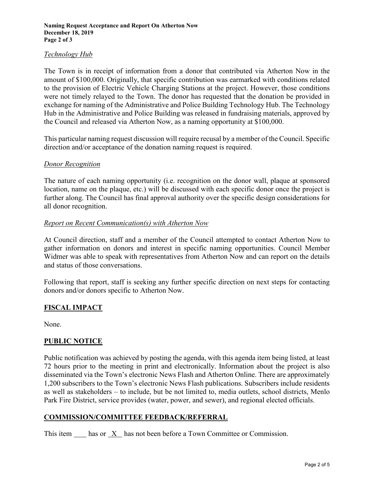# *Technology Hub*

The Town is in receipt of information from a donor that contributed via Atherton Now in the amount of \$100,000. Originally, that specific contribution was earmarked with conditions related to the provision of Electric Vehicle Charging Stations at the project. However, those conditions were not timely relayed to the Town. The donor has requested that the donation be provided in exchange for naming of the Administrative and Police Building Technology Hub. The Technology Hub in the Administrative and Police Building was released in fundraising materials, approved by the Council and released via Atherton Now, as a naming opportunity at \$100,000.

This particular naming request discussion will require recusal by a member of the Council. Specific direction and/or acceptance of the donation naming request is required.

#### *Donor Recognition*

The nature of each naming opportunity (i.e. recognition on the donor wall, plaque at sponsored location, name on the plaque, etc.) will be discussed with each specific donor once the project is further along. The Council has final approval authority over the specific design considerations for all donor recognition.

# *Report on Recent Communication(s) with Atherton Now*

At Council direction, staff and a member of the Council attempted to contact Atherton Now to gather information on donors and interest in specific naming opportunities. Council Member Widmer was able to speak with representatives from Atherton Now and can report on the details and status of those conversations.

Following that report, staff is seeking any further specific direction on next steps for contacting donors and/or donors specific to Atherton Now.

# **FISCAL IMPACT**

None.

# **PUBLIC NOTICE**

Public notification was achieved by posting the agenda, with this agenda item being listed, at least 72 hours prior to the meeting in print and electronically. Information about the project is also disseminated via the Town's electronic News Flash and Atherton Online. There are approximately 1,200 subscribers to the Town's electronic News Flash publications. Subscribers include residents as well as stakeholders – to include, but be not limited to, media outlets, school districts, Menlo Park Fire District, service provides (water, power, and sewer), and regional elected officials.

# **COMMISSION/COMMITTEE FEEDBACK/REFERRAL**

This item has or X has not been before a Town Committee or Commission.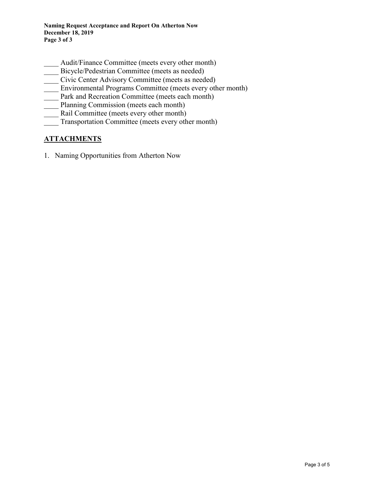- Audit/Finance Committee (meets every other month)
- Bicycle/Pedestrian Committee (meets as needed)
- Civic Center Advisory Committee (meets as needed)
- Environmental Programs Committee (meets every other month)
- Park and Recreation Committee (meets each month)
- Planning Commission (meets each month)
- Rail Committee (meets every other month)
- Transportation Committee (meets every other month)

# **ATTACHMENTS**

1. Naming Opportunities from Atherton Now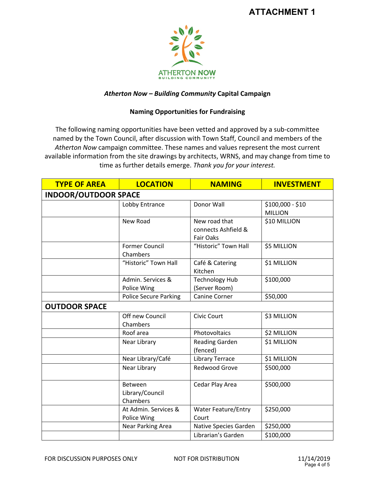

# *Atherton Now – Building Community* **Capital Campaign**

# **Naming Opportunities for Fundraising**

The following naming opportunities have been vetted and approved by a sub-committee named by the Town Council, after discussion with Town Staff, Council and members of the *Atherton Now* campaign committee. These names and values represent the most current available information from the site drawings by architects, WRNS, and may change from time to time as further details emerge. *Thank you for your interest.* 

| <b>TYPE OF AREA</b>         | <b>LOCATION</b>                        | <b>NAMING</b>                                            | <b>INVESTMENT</b>                  |  |
|-----------------------------|----------------------------------------|----------------------------------------------------------|------------------------------------|--|
| <b>INDOOR/OUTDOOR SPACE</b> |                                        |                                                          |                                    |  |
|                             | Lobby Entrance                         | Donor Wall                                               | \$100,000 - \$10<br><b>MILLION</b> |  |
|                             | New Road                               | New road that<br>connects Ashfield &<br><b>Fair Oaks</b> | \$10 MILLION                       |  |
|                             | <b>Former Council</b><br>Chambers      | "Historic" Town Hall                                     | \$5 MILLION                        |  |
|                             | "Historic" Town Hall                   | Café & Catering<br>Kitchen                               | \$1 MILLION                        |  |
|                             | Admin. Services &<br>Police Wing       | <b>Technology Hub</b><br>(Server Room)                   | \$100,000                          |  |
|                             | <b>Police Secure Parking</b>           | Canine Corner                                            | \$50,000                           |  |
| <b>OUTDOOR SPACE</b>        |                                        |                                                          |                                    |  |
|                             | Off new Council<br>Chambers            | Civic Court                                              | \$3 MILLION                        |  |
|                             | Roof area                              | Photovoltaics                                            | \$2 MILLION                        |  |
|                             | Near Library                           | <b>Reading Garden</b><br>(fenced)                        | \$1 MILLION                        |  |
|                             | Near Library/Café                      | Library Terrace                                          | \$1 MILLION                        |  |
|                             | Near Library                           | <b>Redwood Grove</b>                                     | \$500,000                          |  |
|                             | Between<br>Library/Council<br>Chambers | Cedar Play Area                                          | \$500,000                          |  |
|                             | At Admin. Services &<br>Police Wing    | <b>Water Feature/Entry</b><br>Court                      | \$250,000                          |  |
|                             | Near Parking Area                      | Native Species Garden                                    | \$250,000                          |  |
|                             |                                        | Librarian's Garden                                       | \$100,000                          |  |